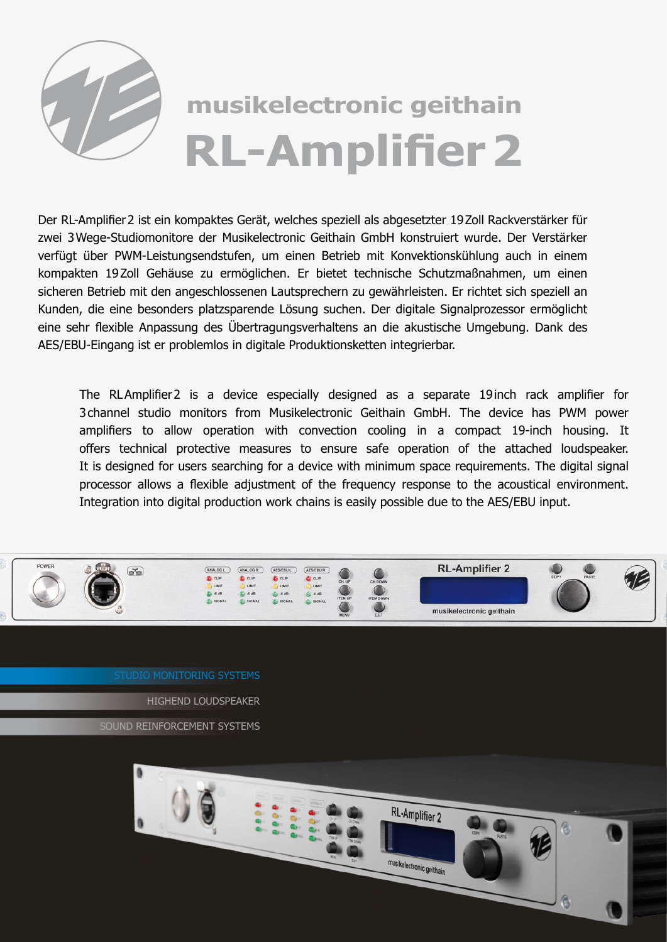

## **musikelectronic geithain RL-Amplifier 2**

Der RL-Amplifier2 ist ein kompaktes Gerät, welches speziell als abgesetzter 19Zoll Rackverstärker für zwei 3Wege-Studiomonitore der Musikelectronic Geithain GmbH konstruiert wurde. Der Verstärker verfügt über PWM-Leistungsendstufen, um einen Betrieb mit Konvektionskühlung auch in einem kompakten 19Zoll Gehäuse zu ermöglichen. Er bietet technische Schutzmaßnahmen, um einen sicheren Betrieb mit den angeschlossenen Lautsprechern zu gewährleisten. Er richtet sich speziell an Kunden, die eine besonders platzsparende Lösung suchen. Der digitale Signalprozessor ermöglicht eine sehr flexible Anpassung des Übertragungsverhaltens an die akustische Umgebung. Dank des AES/EBU-Eingang ist er problemlos in digitale Produktionsketten integrierbar.

The RLAmplifier2 is a device especially designed as a separate 19inch rack amplifier for 3channel studio monitors from Musikelectronic Geithain GmbH. The device has PWM power amplifiers to allow operation with convection cooling in a compact 19-inch housing. It offers technical protective measures to ensure safe operation of the attached loudspeaker. It is designed for users searching for a device with minimum space requirements. The digital signal processor allows a flexible adjustment of the frequency response to the acoustical environment. Integration into digital production work chains is easily possible due to the AES/EBU input.